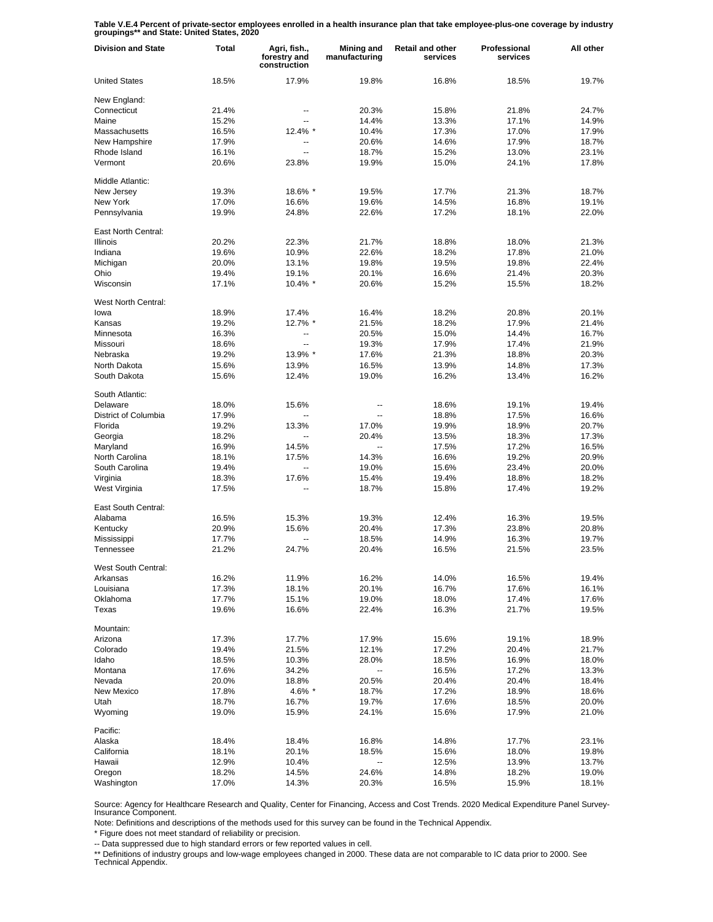**Table V.E.4 Percent of private-sector employees enrolled in a health insurance plan that take employee-plus-one coverage by industry groupings\*\* and State: United States, 2020**

| <b>Division and State</b> | Total | Agri, fish.,<br>forestry and<br>construction | Mining and<br>manufacturing | <b>Retail and other</b><br>services | Professional<br>services | All other |
|---------------------------|-------|----------------------------------------------|-----------------------------|-------------------------------------|--------------------------|-----------|
| <b>United States</b>      | 18.5% | 17.9%                                        | 19.8%                       | 16.8%                               | 18.5%                    | 19.7%     |
| New England:              |       |                                              |                             |                                     |                          |           |
| Connecticut               | 21.4% | --                                           | 20.3%                       | 15.8%                               | 21.8%                    | 24.7%     |
| Maine                     | 15.2% | $\overline{a}$                               | 14.4%                       | 13.3%                               | 17.1%                    | 14.9%     |
| Massachusetts             | 16.5% | 12.4% *                                      | 10.4%                       | 17.3%                               | 17.0%                    | 17.9%     |
| New Hampshire             | 17.9% | ۰.                                           | 20.6%                       | 14.6%                               | 17.9%                    | 18.7%     |
| Rhode Island              | 16.1% | $\overline{a}$                               | 18.7%                       | 15.2%                               | 13.0%                    | 23.1%     |
| Vermont                   | 20.6% | 23.8%                                        | 19.9%                       | 15.0%                               | 24.1%                    | 17.8%     |
| Middle Atlantic:          |       |                                              |                             |                                     |                          |           |
| New Jersey                | 19.3% | 18.6% *                                      | 19.5%                       | 17.7%                               | 21.3%                    | 18.7%     |
| New York                  | 17.0% | 16.6%                                        | 19.6%                       | 14.5%                               | 16.8%                    | 19.1%     |
| Pennsylvania              | 19.9% | 24.8%                                        | 22.6%                       | 17.2%                               | 18.1%                    | 22.0%     |
| East North Central:       |       |                                              |                             |                                     |                          |           |
| <b>Illinois</b>           | 20.2% | 22.3%                                        | 21.7%                       | 18.8%                               | 18.0%                    | 21.3%     |
| Indiana                   | 19.6% | 10.9%                                        | 22.6%                       | 18.2%                               | 17.8%                    | 21.0%     |
| Michigan                  | 20.0% | 13.1%                                        | 19.8%                       | 19.5%                               | 19.8%                    | 22.4%     |
| Ohio                      | 19.4% | 19.1%                                        | 20.1%                       | 16.6%                               | 21.4%                    | 20.3%     |
| Wisconsin                 | 17.1% | 10.4% *                                      | 20.6%                       | 15.2%                               | 15.5%                    | 18.2%     |
| West North Central:       |       |                                              |                             |                                     |                          |           |
| lowa                      | 18.9% | 17.4%                                        | 16.4%                       | 18.2%                               | 20.8%                    | 20.1%     |
| Kansas                    | 19.2% | 12.7% *                                      | 21.5%                       | 18.2%                               | 17.9%                    | 21.4%     |
| Minnesota                 | 16.3% | --                                           | 20.5%                       | 15.0%                               | 14.4%                    | 16.7%     |
| Missouri                  | 18.6% | --                                           | 19.3%                       | 17.9%                               | 17.4%                    | 21.9%     |
| Nebraska                  | 19.2% | 13.9% *                                      | 17.6%                       | 21.3%                               | 18.8%                    | 20.3%     |
| North Dakota              | 15.6% | 13.9%                                        | 16.5%                       | 13.9%                               | 14.8%                    | 17.3%     |
| South Dakota              | 15.6% | 12.4%                                        | 19.0%                       | 16.2%                               | 13.4%                    | 16.2%     |
| South Atlantic:           |       |                                              |                             |                                     |                          |           |
| Delaware                  | 18.0% | 15.6%                                        | --                          | 18.6%                               | 19.1%                    | 19.4%     |
| District of Columbia      | 17.9% | $\ddotsc$                                    | $\overline{a}$              | 18.8%                               | 17.5%                    | 16.6%     |
| Florida                   | 19.2% | 13.3%                                        | 17.0%                       | 19.9%                               | 18.9%                    | 20.7%     |
| Georgia                   | 18.2% | Ξ.                                           | 20.4%                       | 13.5%                               | 18.3%                    | 17.3%     |
| Maryland                  | 16.9% | 14.5%                                        | $\ddotsc$                   | 17.5%                               | 17.2%                    | 16.5%     |
| North Carolina            | 18.1% | 17.5%                                        | 14.3%                       | 16.6%                               | 19.2%                    | 20.9%     |
| South Carolina            | 19.4% | Щ,                                           | 19.0%                       | 15.6%                               | 23.4%                    | 20.0%     |
| Virginia                  | 18.3% | 17.6%                                        | 15.4%                       | 19.4%                               | 18.8%                    | 18.2%     |
| West Virginia             | 17.5% | Ц.                                           | 18.7%                       | 15.8%                               | 17.4%                    | 19.2%     |
| East South Central:       |       |                                              |                             |                                     |                          |           |
| Alabama                   | 16.5% | 15.3%                                        | 19.3%                       | 12.4%                               | 16.3%                    | 19.5%     |
| Kentucky                  | 20.9% | 15.6%                                        | 20.4%                       | 17.3%                               | 23.8%                    | 20.8%     |
| Mississippi               | 17.7% |                                              | 18.5%                       | 14.9%                               | 16.3%                    | 19.7%     |
| Tennessee                 | 21.2% | 24.7%                                        | 20.4%                       | 16.5%                               | 21.5%                    | 23.5%     |
| West South Central:       |       |                                              |                             |                                     |                          |           |
| Arkansas                  | 16.2% | 11.9%                                        | 16.2%                       | 14.0%                               | 16.5%                    | 19.4%     |
| Louisiana                 | 17.3% | 18.1%                                        | 20.1%                       | 16.7%                               | 17.6%                    | 16.1%     |
| Oklahoma                  | 17.7% | 15.1%                                        | 19.0%                       | 18.0%                               | 17.4%                    | 17.6%     |
| Texas                     | 19.6% | 16.6%                                        | 22.4%                       | 16.3%                               | 21.7%                    | 19.5%     |
| Mountain:                 |       |                                              |                             |                                     |                          |           |
| Arizona                   | 17.3% | 17.7%                                        | 17.9%                       | 15.6%                               | 19.1%                    | 18.9%     |
| Colorado                  | 19.4% | 21.5%                                        | 12.1%                       | 17.2%                               | 20.4%                    | 21.7%     |
| Idaho                     | 18.5% | 10.3%                                        | 28.0%                       | 18.5%                               | 16.9%                    | 18.0%     |
| Montana                   | 17.6% | 34.2%                                        | $\overline{\phantom{a}}$    | 16.5%                               | 17.2%                    | 13.3%     |
| Nevada                    | 20.0% | 18.8%                                        | 20.5%                       | 20.4%                               | 20.4%                    | 18.4%     |
| New Mexico                | 17.8% | 4.6% *                                       | 18.7%                       | 17.2%                               | 18.9%                    | 18.6%     |
| Utah                      | 18.7% | 16.7%                                        | 19.7%                       | 17.6%                               | 18.5%                    | 20.0%     |
| Wyoming                   | 19.0% | 15.9%                                        | 24.1%                       | 15.6%                               | 17.9%                    | 21.0%     |
| Pacific:                  |       |                                              |                             |                                     |                          |           |
| Alaska                    | 18.4% | 18.4%                                        | 16.8%                       | 14.8%                               | 17.7%                    | 23.1%     |
| California                | 18.1% | 20.1%                                        | 18.5%                       | 15.6%                               | 18.0%                    | 19.8%     |
| Hawaii                    | 12.9% | 10.4%                                        | --                          | 12.5%                               | 13.9%                    | 13.7%     |
| Oregon                    | 18.2% | 14.5%                                        | 24.6%                       | 14.8%                               | 18.2%                    | 19.0%     |
| Washington                | 17.0% | 14.3%                                        | 20.3%                       | 16.5%                               | 15.9%                    | 18.1%     |

Source: Agency for Healthcare Research and Quality, Center for Financing, Access and Cost Trends. 2020 Medical Expenditure Panel Survey-Insurance Component.

Note: Definitions and descriptions of the methods used for this survey can be found in the Technical Appendix.

\* Figure does not meet standard of reliability or precision.

-- Data suppressed due to high standard errors or few reported values in cell.

\*\* Definitions of industry groups and low-wage employees changed in 2000. These data are not comparable to IC data prior to 2000. See Technical Appendix.